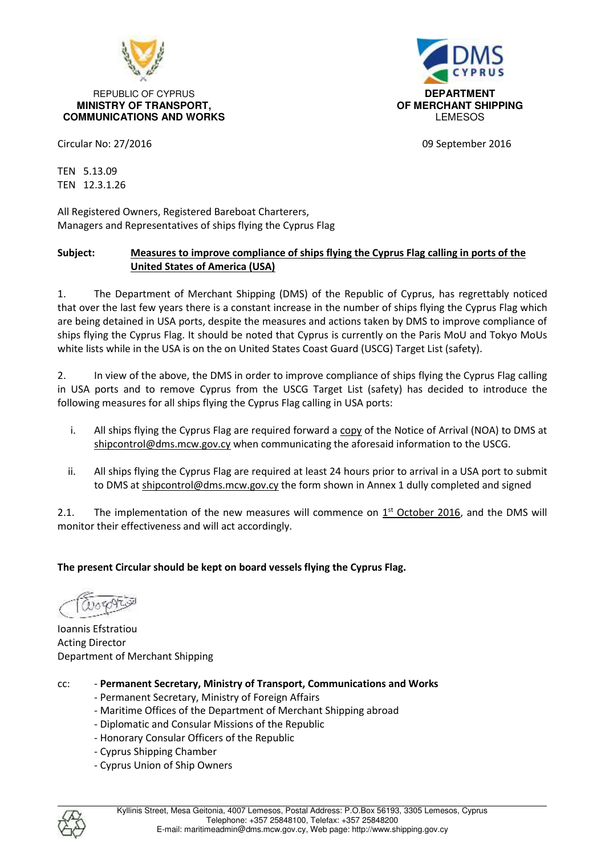

#### REPUBLIC OF CYPRUS **DEPARTMENT MINISTRY OF TRANSPORT, OF MERCHANT SHIPPING COMMUNICATIONS AND WORKS LEMESOS LEMESOS**



Circular No: 27/2016 09 September 2016

TEN 5.13.09 TEN 12.3.1.26

All Registered Owners, Registered Bareboat Charterers, Managers and Representatives of ships flying the Cyprus Flag

## **Subject: Measures to improve compliance of ships flying the Cyprus Flag calling in ports of the United States of America (USA)**

1. The Department of Merchant Shipping (DMS) of the Republic of Cyprus, has regrettably noticed that over the last few years there is a constant increase in the number of ships flying the Cyprus Flag which are being detained in USA ports, despite the measures and actions taken by DMS to improve compliance of ships flying the Cyprus Flag. It should be noted that Cyprus is currently on the Paris MoU and Tokyo MoUs white lists while in the USA is on the on United States Coast Guard (USCG) Target List (safety).

2. In view of the above, the DMS in order to improve compliance of ships flying the Cyprus Flag calling in USA ports and to remove Cyprus from the USCG Target List (safety) has decided to introduce the following measures for all ships flying the Cyprus Flag calling in USA ports:

- i. All ships flying the Cyprus Flag are required forward a copy of the Notice of Arrival (NOA) to DMS at shipcontrol@dms.mcw.gov.cy when communicating the aforesaid information to the USCG.
- ii. All ships flying the Cyprus Flag are required at least 24 hours prior to arrival in a USA port to submit to DMS at shipcontrol@dms.mcw.gov.cy the form shown in Annex 1 dully completed and signed

2.1. The implementation of the new measures will commence on  $1<sup>st</sup>$  October 2016, and the DMS will monitor their effectiveness and will act accordingly.

## **The present Circular should be kept on board vessels flying the Cyprus Flag.**

Ioannis Efstratiou Acting Director Department of Merchant Shipping

- cc: **Permanent Secretary, Ministry of Transport, Communications and Works** 
	- Permanent Secretary, Ministry of Foreign Affairs
	- Maritime Offices of the Department of Merchant Shipping abroad
	- Diplomatic and Consular Missions of the Republic
	- Honorary Consular Officers of the Republic
	- Cyprus Shipping Chamber
	- Cyprus Union of Ship Owners

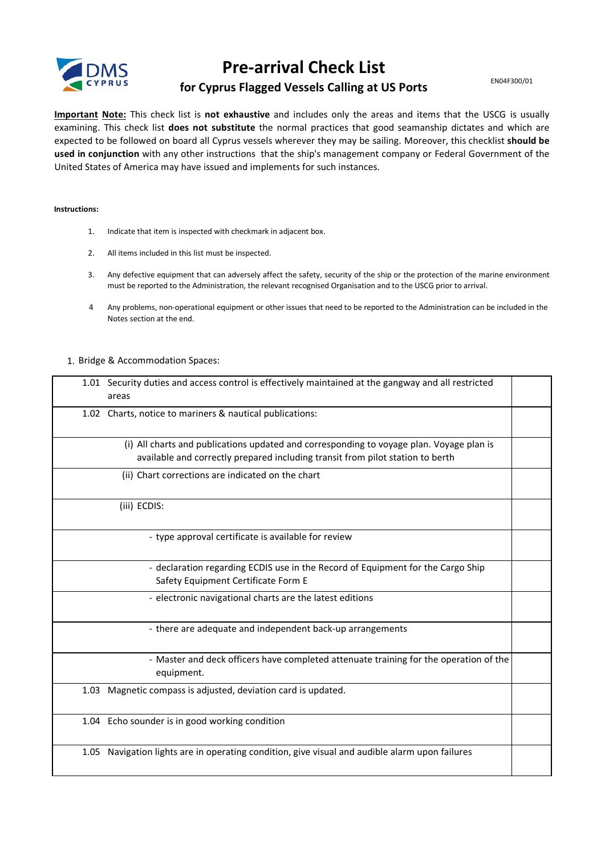

# **Pre-arrival Check List**

EN04F300/01

## for Cyprus Flagged Vessels Calling at US Ports

Important Note: This check list is not exhaustive and includes only the areas and items that the USCG is usually examining. This check list does not substitute the normal practices that good seamanship dictates and which are expected to be followed on board all Cyprus vessels wherever they may be sailing. Moreover, this checklist should be used in conjunction with any other instructions that the ship's management company or Federal Government of the United States of America may have issued and implements for such instances.

#### Instructions:

- Indicate that item is inspected with checkmark in adjacent box.  $1.$
- All items included in this list must be inspected.  $2.$
- Any defective equipment that can adversely affect the safety, security of the ship or the protection of the marine environment  $3<sub>1</sub>$ must be reported to the Administration, the relevant recognised Organisation and to the USCG prior to arrival.
- $\overline{4}$ Any problems, non-operational equipment or other issues that need to be reported to the Administration can be included in the Notes section at the end.

#### 1. Bridge & Accommodation Spaces:

| 1.01 Security duties and access control is effectively maintained at the gangway and all restricted<br>areas                                                               |  |
|----------------------------------------------------------------------------------------------------------------------------------------------------------------------------|--|
| 1.02 Charts, notice to mariners & nautical publications:                                                                                                                   |  |
| (i) All charts and publications updated and corresponding to voyage plan. Voyage plan is<br>available and correctly prepared including transit from pilot station to berth |  |
| (ii) Chart corrections are indicated on the chart                                                                                                                          |  |
| (iii) ECDIS:                                                                                                                                                               |  |
| - type approval certificate is available for review                                                                                                                        |  |
| - declaration regarding ECDIS use in the Record of Equipment for the Cargo Ship<br>Safety Equipment Certificate Form E                                                     |  |
| - electronic navigational charts are the latest editions                                                                                                                   |  |
| - there are adequate and independent back-up arrangements                                                                                                                  |  |
| - Master and deck officers have completed attenuate training for the operation of the<br>equipment.                                                                        |  |
| 1.03 Magnetic compass is adjusted, deviation card is updated.                                                                                                              |  |
| 1.04 Echo sounder is in good working condition                                                                                                                             |  |
| 1.05 Navigation lights are in operating condition, give visual and audible alarm upon failures                                                                             |  |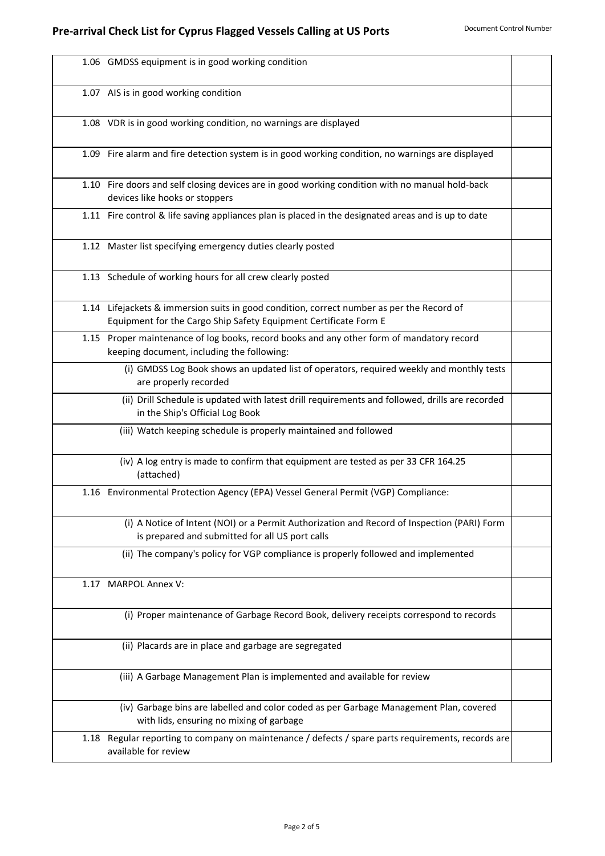|      | 1.06 GMDSS equipment is in good working condition                                                                                                             |  |
|------|---------------------------------------------------------------------------------------------------------------------------------------------------------------|--|
|      | 1.07 AIS is in good working condition                                                                                                                         |  |
|      | 1.08 VDR is in good working condition, no warnings are displayed                                                                                              |  |
|      | 1.09 Fire alarm and fire detection system is in good working condition, no warnings are displayed                                                             |  |
|      | 1.10 Fire doors and self closing devices are in good working condition with no manual hold-back<br>devices like hooks or stoppers                             |  |
|      | 1.11 Fire control & life saving appliances plan is placed in the designated areas and is up to date                                                           |  |
|      | 1.12 Master list specifying emergency duties clearly posted                                                                                                   |  |
|      | 1.13 Schedule of working hours for all crew clearly posted                                                                                                    |  |
|      | 1.14 Lifejackets & immersion suits in good condition, correct number as per the Record of<br>Equipment for the Cargo Ship Safety Equipment Certificate Form E |  |
|      | 1.15 Proper maintenance of log books, record books and any other form of mandatory record<br>keeping document, including the following:                       |  |
|      | (i) GMDSS Log Book shows an updated list of operators, required weekly and monthly tests<br>are properly recorded                                             |  |
|      | (ii) Drill Schedule is updated with latest drill requirements and followed, drills are recorded<br>in the Ship's Official Log Book                            |  |
|      | (iii) Watch keeping schedule is properly maintained and followed                                                                                              |  |
|      | (iv) A log entry is made to confirm that equipment are tested as per 33 CFR 164.25<br>(attached)                                                              |  |
|      | 1.16 Environmental Protection Agency (EPA) Vessel General Permit (VGP) Compliance:                                                                            |  |
|      | (i) A Notice of Intent (NOI) or a Permit Authorization and Record of Inspection (PARI) Form<br>is prepared and submitted for all US port calls                |  |
|      | (ii) The company's policy for VGP compliance is properly followed and implemented                                                                             |  |
| 1.17 | <b>MARPOL Annex V:</b>                                                                                                                                        |  |
|      | (i) Proper maintenance of Garbage Record Book, delivery receipts correspond to records                                                                        |  |
|      | (ii) Placards are in place and garbage are segregated                                                                                                         |  |
|      | (iii) A Garbage Management Plan is implemented and available for review                                                                                       |  |
|      | (iv) Garbage bins are labelled and color coded as per Garbage Management Plan, covered<br>with lids, ensuring no mixing of garbage                            |  |
| 1.18 | Regular reporting to company on maintenance / defects / spare parts requirements, records are<br>available for review                                         |  |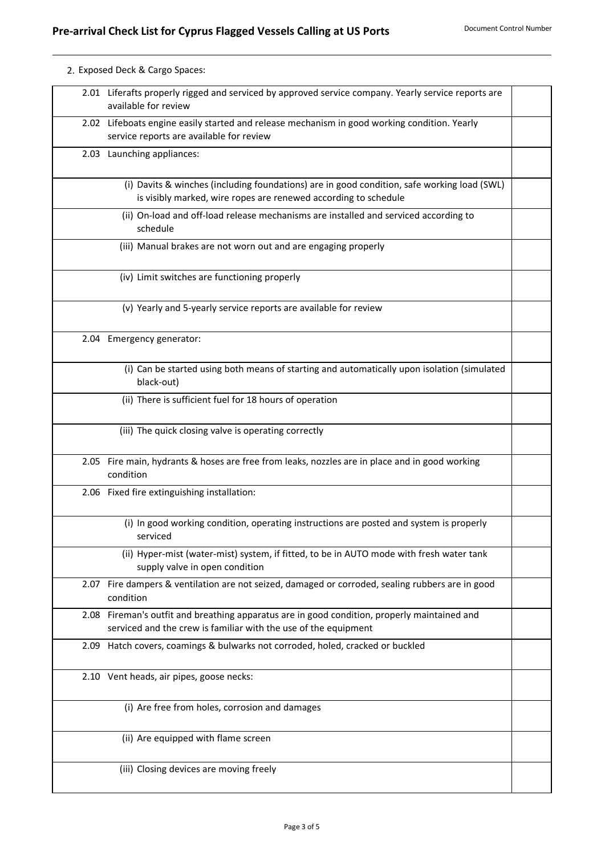| 2. Exposed Deck & Cargo Spaces:                                                                                                                                |
|----------------------------------------------------------------------------------------------------------------------------------------------------------------|
| 2.01 Liferafts properly rigged and serviced by approved service company. Yearly service reports are<br>available for review                                    |
| 2.02 Lifeboats engine easily started and release mechanism in good working condition. Yearly<br>service reports are available for review                       |
| 2.03 Launching appliances:                                                                                                                                     |
| (i) Davits & winches (including foundations) are in good condition, safe working load (SWL)<br>is visibly marked, wire ropes are renewed according to schedule |
| (ii) On-load and off-load release mechanisms are installed and serviced according to<br>schedule                                                               |
| (iii) Manual brakes are not worn out and are engaging properly                                                                                                 |
| (iv) Limit switches are functioning properly                                                                                                                   |
| (v) Yearly and 5-yearly service reports are available for review                                                                                               |
| 2.04 Emergency generator:                                                                                                                                      |
| (i) Can be started using both means of starting and automatically upon isolation (simulated<br>black-out)                                                      |
| (ii) There is sufficient fuel for 18 hours of operation                                                                                                        |
| (iii) The quick closing valve is operating correctly                                                                                                           |
| Fire main, hydrants & hoses are free from leaks, nozzles are in place and in good working<br>condition                                                         |
| 2.06 Fixed fire extinguishing installation:                                                                                                                    |
| (i) In good working condition, operating instructions are posted and system is properly<br>serviced                                                            |
| (ii) Hyper-mist (water-mist) system, if fitted, to be in AUTO mode with fresh water tank<br>supply valve in open condition                                     |
| 2.07 Fire dampers & ventilation are not seized, damaged or corroded, sealing rubbers are in good<br>condition                                                  |
| Fireman's outfit and breathing apparatus are in good condition, properly maintained and<br>serviced and the crew is familiar with the use of the equipment     |
| Hatch covers, coamings & bulwarks not corroded, holed, cracked or buckled                                                                                      |
| 2.10 Vent heads, air pipes, goose necks:                                                                                                                       |
| (i) Are free from holes, corrosion and damages                                                                                                                 |
|                                                                                                                                                                |
| (ii) Are equipped with flame screen                                                                                                                            |
| 2.05<br>2.08                                                                                                                                                   |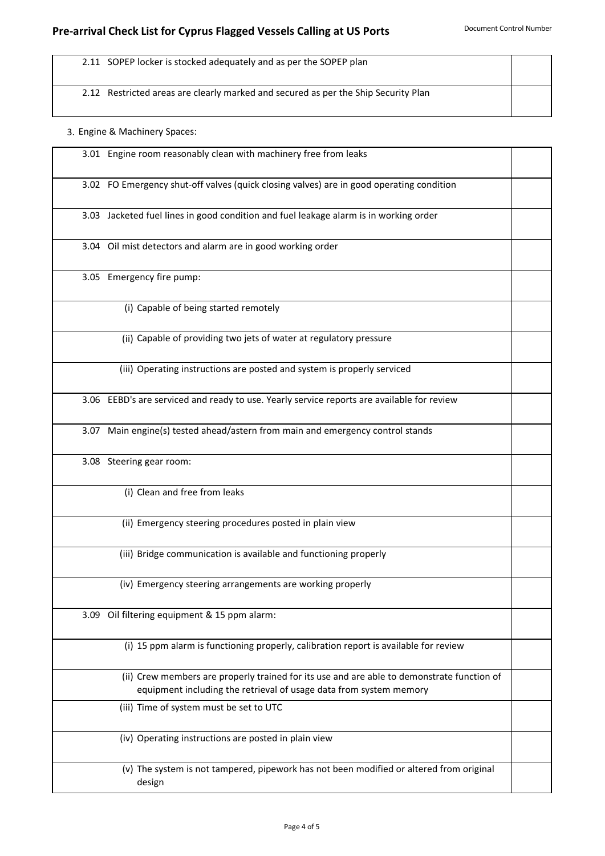2.11 SOPEP locker is stocked adequately and as per the SOPEP plan

2.12 Restricted areas are clearly marked and secured as per the Ship Security Plan

### 3. Engine & Machinery Spaces:

| 3.01 Engine room reasonably clean with machinery free from leaks                                                                                                 |  |
|------------------------------------------------------------------------------------------------------------------------------------------------------------------|--|
| 3.02 FO Emergency shut-off valves (quick closing valves) are in good operating condition                                                                         |  |
| 3.03 Jacketed fuel lines in good condition and fuel leakage alarm is in working order                                                                            |  |
| 3.04 Oil mist detectors and alarm are in good working order                                                                                                      |  |
| 3.05 Emergency fire pump:                                                                                                                                        |  |
| (i) Capable of being started remotely                                                                                                                            |  |
| (ii) Capable of providing two jets of water at regulatory pressure                                                                                               |  |
| (iii) Operating instructions are posted and system is properly serviced                                                                                          |  |
| 3.06 EEBD's are serviced and ready to use. Yearly service reports are available for review                                                                       |  |
| 3.07 Main engine(s) tested ahead/astern from main and emergency control stands                                                                                   |  |
| 3.08 Steering gear room:                                                                                                                                         |  |
| (i) Clean and free from leaks                                                                                                                                    |  |
| (ii) Emergency steering procedures posted in plain view                                                                                                          |  |
| (iii) Bridge communication is available and functioning properly                                                                                                 |  |
| (iv) Emergency steering arrangements are working properly                                                                                                        |  |
| 3.09 Oil filtering equipment & 15 ppm alarm:                                                                                                                     |  |
| (i) 15 ppm alarm is functioning properly, calibration report is available for review                                                                             |  |
| (ii) Crew members are properly trained for its use and are able to demonstrate function of<br>equipment including the retrieval of usage data from system memory |  |
| (iii) Time of system must be set to UTC                                                                                                                          |  |
| (iv) Operating instructions are posted in plain view                                                                                                             |  |
| (v) The system is not tampered, pipework has not been modified or altered from original<br>design                                                                |  |